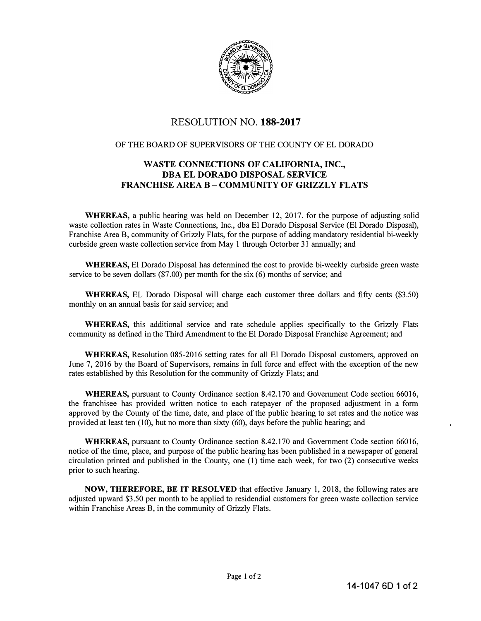

## RESOLUTION NO. **188-2017**

## OF THE BOARD OF SUPERVISORS OF THE COUNTY OF EL DORADO

## **WASTE CONNECTIONS OF CALIFORNIA, INC., DBA EL DORADO DISPOSAL SERVICE FRANCHISE AREA B - COMMUNITY OF GRIZZLY FLATS**

**WHEREAS,** a public hearing was held on December 12, 2017. for the purpose of adjusting solid waste collection rates in Waste Connections, Inc., dba El Dorado Disposal Service (El Dorado Disposal), Franchise Area B, community of Grizzly Flats, for the purpose of adding mandatory residential bi-weekly curbside green waste collection service from May 1 through Octorber 31 annually; and

**WHEREAS,** El Dorado Disposal has determined the cost to provide bi-weekly curbside green waste service to be seven dollars  $(\$7.00)$  per month for the six  $(6)$  months of service; and

**WHEREAS,** EL Dorado Disposal will charge each customer three dollars and fifty cents (\$3.50) monthly on an annual basis for said service; and

**WHEREAS,** this additional service and rate schedule applies specifically to the Grizzly Flats community as defined in the Third Amendment to the El Dorado Disposal Franchise Agreement; and

**WHEREAS,** Resolution 085-2016 setting rates for all El Dorado Disposal customers, approved on June 7, 2016 by the Board of Supervisors, remains in full force and effect with the exception of the new rates established by this Resolution for the community of Grizzly Flats; and

**WHEREAS,** pursuant to County Ordinance section 8.42.170 and Government Code section 66016, the franchisee has provided written notice to each ratepayer of the proposed adjustment in a form approved by the County of the time, date, and place of the public hearing to set rates and the notice was provided at least ten (10), but no more than sixty (60), days before the public hearing; and.

**WHEREAS,** pursuant to County Ordinance section 8.42.170 and Government Code section 66016, notice of the time, place, and purpose of the public hearing has been published in a newspaper of general circulation printed and published in the County, one (1) time each week, for two (2) consecutive weeks prior to such hearing.

**NOW, THEREFORE, BE IT RESOLVED** that effective January 1, 2018, the following rates are adjusted upward \$3.50 per month to be applied to residendial customers for green waste collection service within Franchise Areas B, in the community of Grizzly Flats.